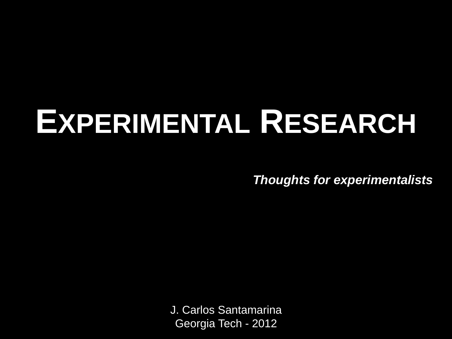# **EXPERIMENTAL RESEARCH**

*Thoughts for experimentalists*

J. Carlos Santamarina Georgia Tech - 2012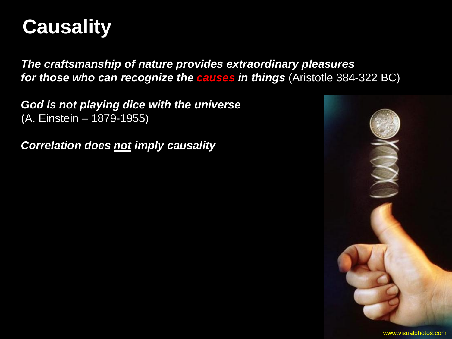

*The craftsmanship of nature provides extraordinary pleasures for those who can recognize the causes in things* (Aristotle 384-322 BC)

*God is not playing dice with the universe*  (A. Einstein – 1879-1955)

*Correlation does not imply causality*

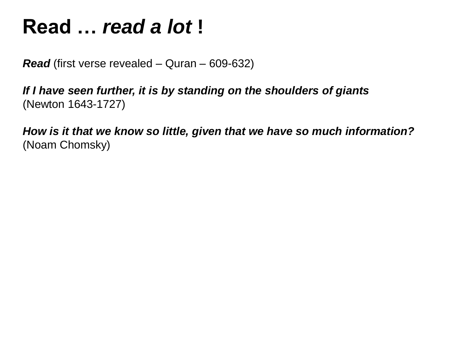## **Read …** *read a lot* **!**

*Read* (first verse revealed – Quran – 609-632)

*If I have seen further, it is by standing on the shoulders of giants*  (Newton 1643-1727)

*How is it that we know so little, given that we have so much information?*  (Noam Chomsky)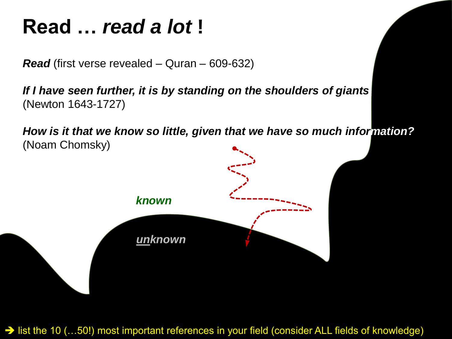# **Read …** *read a lot* **!**

*Read* (first verse revealed – Quran – 609-632)

*If I have seen further, it is by standing on the shoulders of giants*  (Newton 1643-1727)

*How is it that we know so little, given that we have so much information?*  (Noam Chomsky)



→ list the 10 (…50!) most important references in your field (consider ALL fields of knowledge)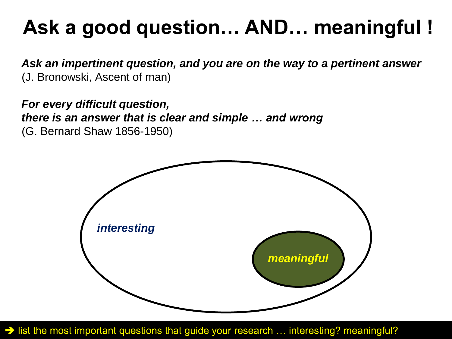# **Ask a good question… AND… meaningful !**

*Ask an impertinent question, and you are on the way to a pertinent answer*  (J. Bronowski, Ascent of man)

*For every difficult question, there is an answer that is clear and simple … and wrong*  (G. Bernard Shaw 1856-1950)



→ list the most important questions that guide your research ... interesting? meaningful?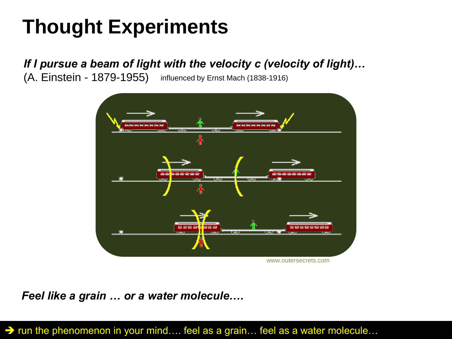# **Thought Experiments**

### *If I pursue a beam of light with the velocity c (velocity of light)…*

(A. Einstein - 1879-1955) influenced by Ernst Mach (1838-1916)



*Feel like a grain … or a water molecule….*

→ run the phenomenon in your mind.... feel as a grain... feel as a water molecule...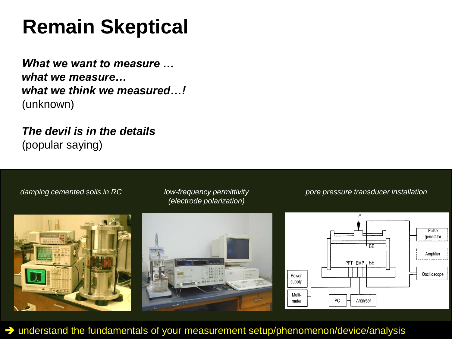# **Remain Skeptical**

*What we want to measure … what we measure… what we think we measured…!* (unknown)

*The devil is in the details* (popular saying)



understand the fundamentals of your measurement setup/phenomenon/device/analysis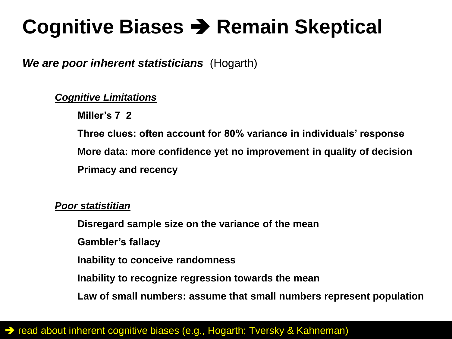# **Cognitive Biases → Remain Skeptical**

### *We are poor inherent statisticians* (Hogarth)

### *Cognitive Limitations*

**Miller's 7 2**

**Three clues: often account for 80% variance in individuals' response More data: more confidence yet no improvement in quality of decision Primacy and recency**

#### *Poor statistitian*

**Disregard sample size on the variance of the mean**

**Gambler's fallacy**

**Inability to conceive randomness**

**Inability to recognize regression towards the mean**

**Law of small numbers: assume that small numbers represent population**

### → read about inherent cognitive biases (e.g., Hogarth; Tversky & Kahneman)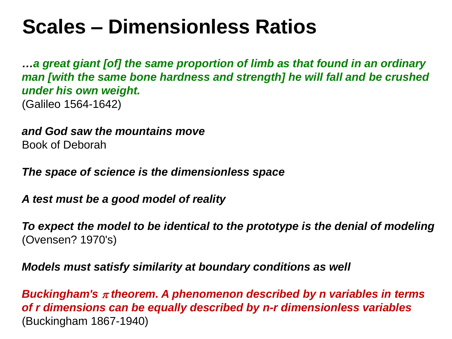# **Scales – Dimensionless Ratios**

*…a great giant [of] the same proportion of limb as that found in an ordinary man [with the same bone hardness and strength] he will fall and be crushed under his own weight.* (Galileo 1564-1642)

*and God saw the mountains move* Book of Deborah

*The space of science is the dimensionless space*

*A test must be a good model of reality*

*To expect the model to be identical to the prototype is the denial of modeling* (Ovensen? 1970's)

*Models must satisfy similarity at boundary conditions as well*

*Buckingham's theorem. A phenomenon described by n variables in terms of r dimensions can be equally described by n-r dimensionless variables*  (Buckingham 1867-1940)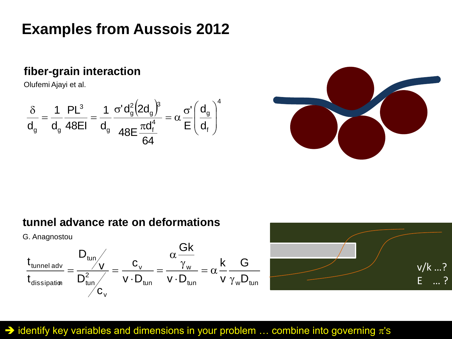### **Examples from Aussois 2012**

### **fiber-grain interaction**

Olufemi Ajayi et al.

$$
\frac{\delta}{d_g}=\frac{1}{d_g}\frac{PL^3}{48EI}=\frac{1}{d_g}\frac{\sigma'd_g^2\Big(2d_g\Big)^{\!3}}{48E\frac{\pi d_f^4}{64}}=\alpha\,\frac{\sigma'}{E}\Bigg(\frac{d_g}{d_f}\Bigg)^{\!4}
$$



### **tunnel advance rate on deformations**

G. Anagnostou





### $\rightarrow$  identify key variables and dimensions in your problem ... combine into governing  $\pi$ 's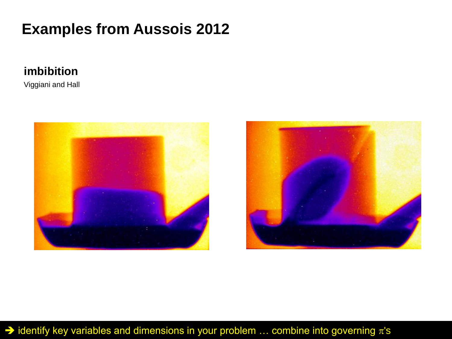### **Examples from Aussois 2012**

### **imbibition**

Viggiani and Hall





### $\rightarrow$  identify key variables and dimensions in your problem ... combine into governing  $\pi$ 's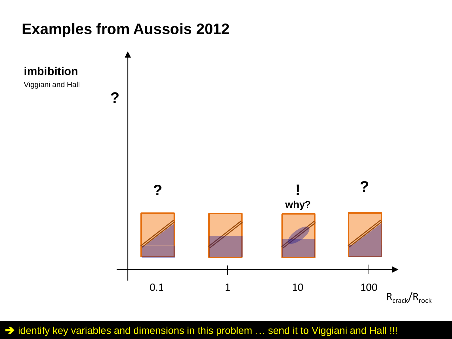### **Examples from Aussois 2012**



 $\rightarrow$  identify key variables and dimensions in this problem ... send it to Viggiani and Hall !!!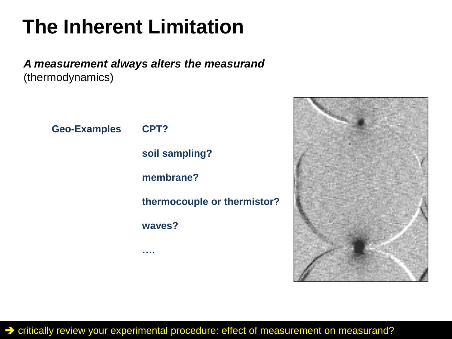# **The Inherent Limitation**

*A measurement always alters the measurand* (thermodynamics)

> **Geo-Examples CPT? soil sampling? membrane? thermocouple or thermistor? waves? ….**



critically review your experimental procedure: effect of measurement on measurand?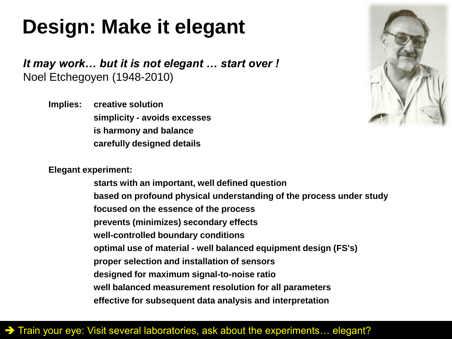# **Design: Make it elegant**

*It may work… but it is not elegant … start over !* Noel Etchegoyen (1948-2010)

**Implies: creative solution simplicity - avoids excesses is harmony and balance carefully designed details**



**Elegant experiment:**

**starts with an important, well defined question based on profound physical understanding of the process under study focused on the essence of the process prevents (minimizes) secondary effects well-controlled boundary conditions optimal use of material - well balanced equipment design (FS's) proper selection and installation of sensors designed for maximum signal-to-noise ratio well balanced measurement resolution for all parameters effective for subsequent data analysis and interpretation**

### → Train your eye: Visit several laboratories, ask about the experiments... elegant?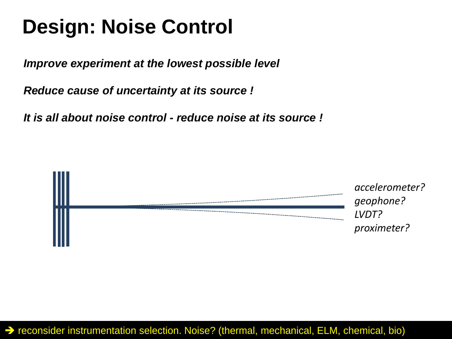# **Design: Noise Control**

*Improve experiment at the lowest possible level*

*Reduce cause of uncertainty at its source !*

*It is all about noise control - reduce noise at its source !*

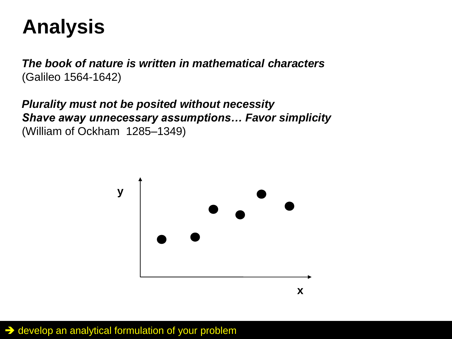# **Analysis**

*The book of nature is written in mathematical characters* (Galileo 1564-1642)

*Plurality must not be posited without necessity Shave away unnecessary assumptions… Favor simplicity* (William of Ockham 1285–1349)



 $\rightarrow$  develop an analytical formulation of your problem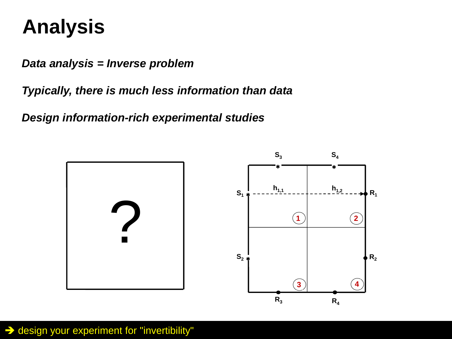# **Analysis**

*Data analysis = Inverse problem*

*Typically, there is much less information than data*

*Design information-rich experimental studies*



 $\rightarrow$  design your experiment for "invertibility"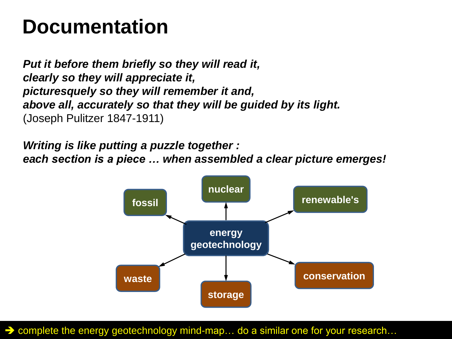### **Documentation**

*Put it before them briefly so they will read it, clearly so they will appreciate it, picturesquely so they will remember it and, above all, accurately so that they will be guided by its light.* (Joseph Pulitzer 1847-1911)

*Writing is like putting a puzzle together : each section is a piece … when assembled a clear picture emerges!* 



→ complete the energy geotechnology mind-map... do a similar one for your research...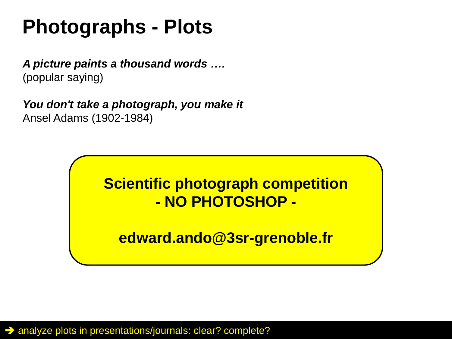# **Photographs - Plots**

*A picture paints a thousand words ….* (popular saying)

*You don't take a photograph, you make it* Ansel Adams (1902-1984)



**edward.ando@3sr-grenoble.fr**

A analyze plots in presentations/journals: clear? complete?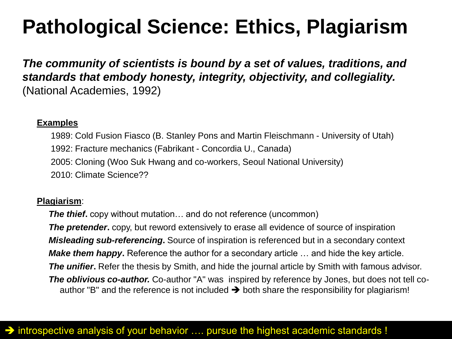# **Pathological Science: Ethics, Plagiarism**

*The community of scientists is bound by a set of values, traditions, and standards that embody honesty, integrity, objectivity, and collegiality.* (National Academies, 1992)

#### **Examples**

1989: Cold Fusion Fiasco (B. Stanley Pons and Martin Fleischmann - University of Utah) 1992: Fracture mechanics (Fabrikant - Concordia U., Canada) 2005: Cloning (Woo Suk Hwang and co-workers, Seoul National University) 2010: Climate Science??

#### **Plagiarism**:

*The thief***.** copy without mutation… and do not reference (uncommon) **The pretender.** copy, but reword extensively to erase all evidence of source of inspiration *Misleading sub-referencing***.** Source of inspiration is referenced but in a secondary context *Make them happy***.** Reference the author for a secondary article … and hide the key article. *The unifier***.** Refer the thesis by Smith, and hide the journal article by Smith with famous advisor. *The oblivious co-author.* Co-author "A" was inspired by reference by Jones, but does not tell coauthor "B" and the reference is not included  $\rightarrow$  both share the responsibility for plagiarism!

### $\rightarrow$  introspective analysis of your behavior .... pursue the highest academic standards !